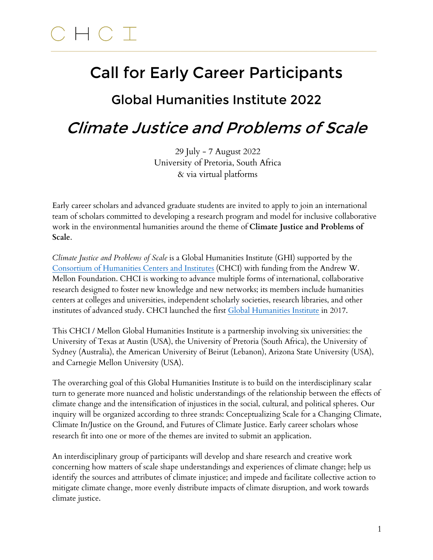#### $CHC$  T  $\_$  ,  $\_$  ,  $\_$  ,  $\_$  ,  $\_$  ,  $\_$  ,  $\_$  ,  $\_$  ,  $\_$  ,  $\_$  ,  $\_$  ,  $\_$  ,  $\_$  ,  $\_$  ,  $\_$  ,  $\_$  ,  $\_$  ,  $\_$  ,  $\_$  ,  $\_$  ,  $\_$  ,  $\_$  ,  $\_$  ,  $\_$  ,  $\_$  ,  $\_$  ,  $\_$  ,  $\_$  ,  $\_$  ,  $\_$  ,  $\_$  ,  $\_$  ,  $\_$  ,  $\_$  ,  $\_$  ,  $\_$  ,  $\_$  ,

# Call for Early Career Participants

### Global Humanities Institute 2022

## Climate Justice and Problems of Scale

29 July - 7 August 2022 University of Pretoria, South Africa & via virtual platforms

Early career scholars and advanced graduate students are invited to apply to join an international team of scholars committed to developing a research program and model for inclusive collaborative work in the environmental humanities around the theme of **Climate Justice and Problems of Scale**.

*Climate Justice and Problems of Scale* is a Global Humanities Institute (GHI) supported by the [Consortium of](https://chcinetwork.org) Humanities Centers and Institutes (CHCI) with funding from the Andrew W. Mellon Foundation. CHCI is working to advance multiple forms of international, collaborative research designed to foster new knowledge and new networks; its members include humanities centers at colleges and universities, independent scholarly societies, research libraries, and other institutes of advanced study. CHCI launched the first Global [Humanities](https://chcinetwork.org/programs/ghi) Institute in 2017.

This CHCI / Mellon Global Humanities Institute is a partnership involving six universities: the University of Texas at Austin (USA), the University of Pretoria (South Africa), the University of Sydney (Australia), the American University of Beirut (Lebanon), Arizona State University (USA), and Carnegie Mellon University (USA).

The overarching goal of this Global Humanities Institute is to build on the interdisciplinary scalar turn to generate more nuanced and holistic understandings of the relationship between the effects of climate change and the intensification of injustices in the social, cultural, and political spheres. Our inquiry will be organized according to three strands: Conceptualizing Scale for a Changing Climate, Climate In/Justice on the Ground, and Futures of Climate Justice. Early career scholars whose research fit into one or more of the themes are invited to submit an application.

An interdisciplinary group of participants will develop and share research and creative work concerning how matters of scale shape understandings and experiences of climate change; help us identify the sources and attributes of climate injustice; and impede and facilitate collective action to mitigate climate change, more evenly distribute impacts of climate disruption, and work towards climate justice.